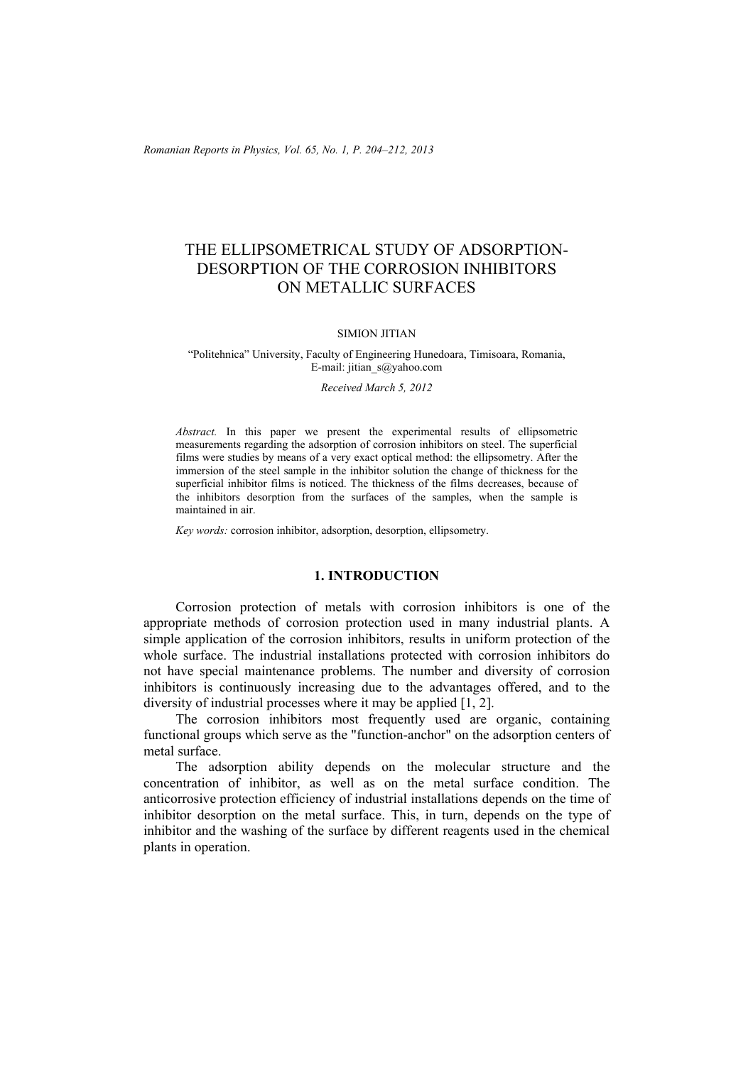*Romanian Reports in Physics, Vol. 65, No. 1, P. 204–212, 2013*

# THE ELLIPSOMETRICAL STUDY OF ADSORPTION-DESORPTION OF THE CORROSION INHIBITORS ON METALLIC SURFACES

## SIMION JITIAN

## "Politehnica" University, Faculty of Engineering Hunedoara, Timisoara, Romania, E-mail: jitian  $s(a)$ yahoo.com

#### *Received March 5, 2012*

*Abstract.* In this paper we present the experimental results of ellipsometric measurements regarding the adsorption of corrosion inhibitors on steel. The superficial films were studies by means of a very exact optical method: the ellipsometry. After the immersion of the steel sample in the inhibitor solution the change of thickness for the superficial inhibitor films is noticed. The thickness of the films decreases, because of the inhibitors desorption from the surfaces of the samples, when the sample is maintained in air.

*Key words:* corrosion inhibitor, adsorption, desorption, ellipsometry.

# **1. INTRODUCTION**

Corrosion protection of metals with corrosion inhibitors is one of the appropriate methods of corrosion protection used in many industrial plants. A simple application of the corrosion inhibitors, results in uniform protection of the whole surface. The industrial installations protected with corrosion inhibitors do not have special maintenance problems. The number and diversity of corrosion inhibitors is continuously increasing due to the advantages offered, and to the diversity of industrial processes where it may be applied [1, 2].

The corrosion inhibitors most frequently used are organic, containing functional groups which serve as the "function-anchor" on the adsorption centers of metal surface.

The adsorption ability depends on the molecular structure and the concentration of inhibitor, as well as on the metal surface condition. The anticorrosive protection efficiency of industrial installations depends on the time of inhibitor desorption on the metal surface. This, in turn, depends on the type of inhibitor and the washing of the surface by different reagents used in the chemical plants in operation.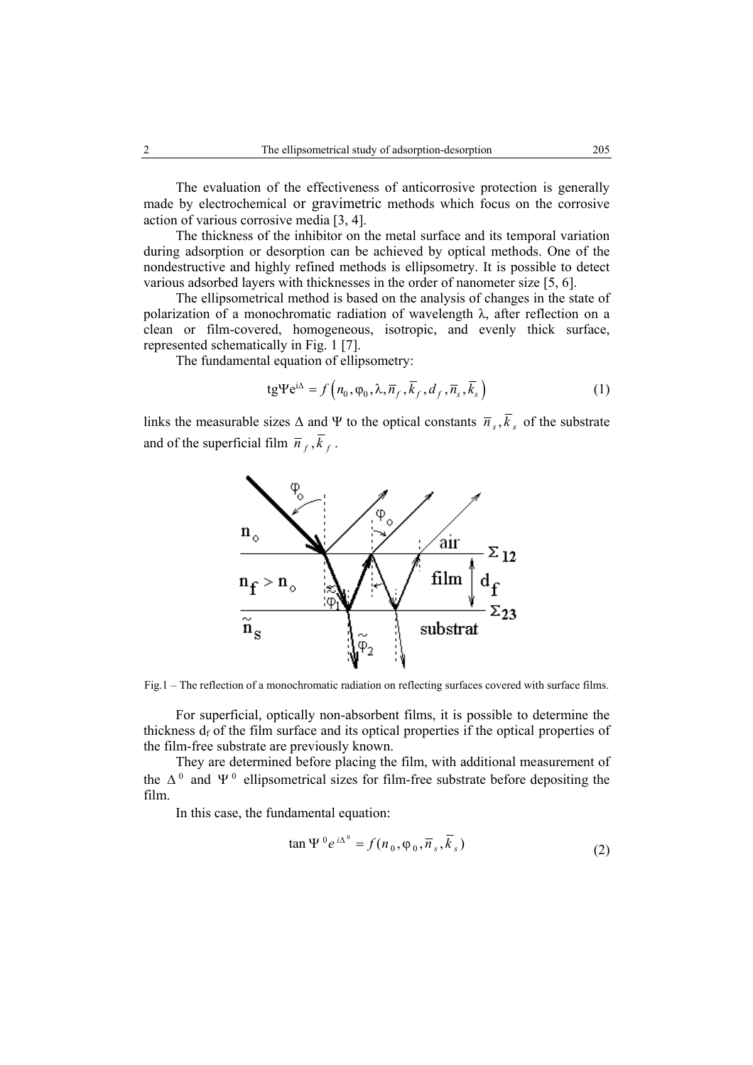The evaluation of the effectiveness of anticorrosive protection is generally made by electrochemical or gravimetric methods which focus on the corrosive action of various corrosive media [3, 4].

The thickness of the inhibitor on the metal surface and its temporal variation during adsorption or desorption can be achieved by optical methods. One of the nondestructive and highly refined methods is ellipsometry. It is possible to detect various adsorbed layers with thicknesses in the order of nanometer size [5, 6].

The ellipsometrical method is based on the analysis of changes in the state of polarization of a monochromatic radiation of wavelength  $\lambda$ , after reflection on a clean or film-covered, homogeneous, isotropic, and evenly thick surface, represented schematically in Fig. 1 [7].

The fundamental equation of ellipsometry:

$$
tg\Psi e^{i\Delta} = f\left(n_0, \varphi_0, \lambda, \overline{n}_f, \overline{k}_f, d_f, \overline{n}_s, \overline{k}_s\right)
$$
 (1)

links the measurable sizes  $\Delta$  and Ψ to the optical constants  $\overline{n}_s$ ,  $\overline{k}_s$  of the substrate and of the superficial film  $\overline{n}_f$ ,  $\overline{k}_f$ .



Fig.1 – The reflection of a monochromatic radiation on reflecting surfaces covered with surface films.

For superficial, optically non-absorbent films, it is possible to determine the thickness  $d_f$  of the film surface and its optical properties if the optical properties of the film-free substrate are previously known.

They are determined before placing the film, with additional measurement of the  $\Delta^0$  and  $\Psi^0$  ellipsometrical sizes for film-free substrate before depositing the film.

In this case, the fundamental equation:

$$
\tan \Psi^{0} e^{i\Delta^{0}} = f(n_0, \varphi_0, \overline{n}_s, \overline{k}_s)
$$
\n(2)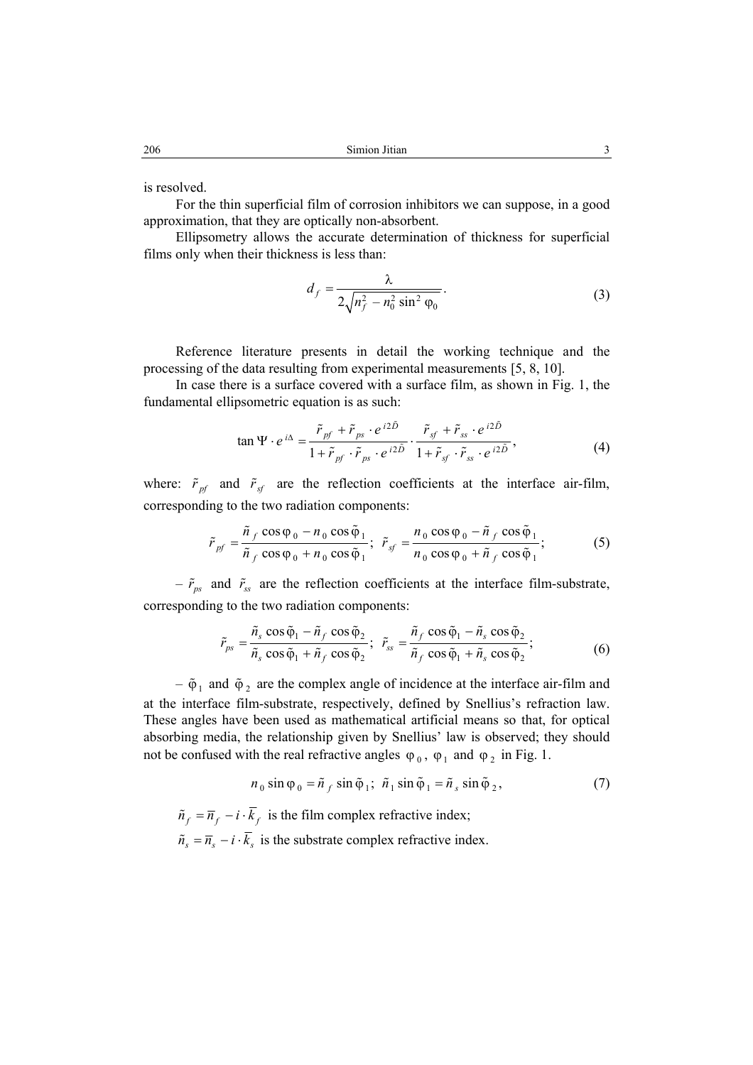is resolved.

For the thin superficial film of corrosion inhibitors we can suppose, in a good approximation, that they are optically non-absorbent.

Ellipsometry allows the accurate determination of thickness for superficial films only when their thickness is less than:

$$
d_f = \frac{\lambda}{2\sqrt{n_f^2 - n_0^2 \sin^2 \varphi_0}}.\tag{3}
$$

Reference literature presents in detail the working technique and the processing of the data resulting from experimental measurements [5, 8, 10].

In case there is a surface covered with a surface film, as shown in Fig. 1, the fundamental ellipsometric equation is as such:

$$
\tan \Psi \cdot e^{i\Delta} = \frac{\tilde{r}_{pf} + \tilde{r}_{ps} \cdot e^{i2\tilde{D}}}{1 + \tilde{r}_{pf} \cdot \tilde{r}_{ps} \cdot e^{i2\tilde{D}}} \cdot \frac{\tilde{r}_{sf} + \tilde{r}_{ss} \cdot e^{i2\tilde{D}}}{1 + \tilde{r}_{sf} \cdot \tilde{r}_{ss} \cdot e^{i2\tilde{D}}},\tag{4}
$$

where:  $\tilde{r}_{pf}$  and  $\tilde{r}_{sf}$  are the reflection coefficients at the interface air-film, corresponding to the two radiation components:

$$
\tilde{r}_{pf} = \frac{\tilde{n}_f \cos \varphi_0 - n_0 \cos \tilde{\varphi}_1}{\tilde{n}_f \cos \varphi_0 + n_0 \cos \tilde{\varphi}_1}; \quad \tilde{r}_{sf} = \frac{n_0 \cos \varphi_0 - \tilde{n}_f \cos \tilde{\varphi}_1}{n_0 \cos \varphi_0 + \tilde{n}_f \cos \tilde{\varphi}_1};
$$
(5)

 $-\tilde{r}_{ps}$  and  $\tilde{r}_{ss}$  are the reflection coefficients at the interface film-substrate, corresponding to the two radiation components:

$$
\tilde{r}_{ps} = \frac{\tilde{n}_s \cos \tilde{\varphi}_1 - \tilde{n}_f \cos \tilde{\varphi}_2}{\tilde{n}_s \cos \tilde{\varphi}_1 + \tilde{n}_f \cos \tilde{\varphi}_2}; \quad \tilde{r}_{ss} = \frac{\tilde{n}_f \cos \tilde{\varphi}_1 - \tilde{n}_s \cos \tilde{\varphi}_2}{\tilde{n}_f \cos \tilde{\varphi}_1 + \tilde{n}_s \cos \tilde{\varphi}_2};
$$
\n(6)

–  $\tilde{\varphi}_1$  and  $\tilde{\varphi}_2$  are the complex angle of incidence at the interface air-film and at the interface film-substrate, respectively, defined by Snellius's refraction law. These angles have been used as mathematical artificial means so that, for optical absorbing media, the relationship given by Snellius' law is observed; they should not be confused with the real refractive angles  $\varphi_0$ ,  $\varphi_1$  and  $\varphi_2$  in Fig. 1.

$$
n_0 \sin \varphi_0 = \tilde{n}_f \sin \tilde{\varphi}_1; \ \tilde{n}_1 \sin \tilde{\varphi}_1 = \tilde{n}_s \sin \tilde{\varphi}_2, \tag{7}
$$

 $\tilde{n}_f = \overline{n}_f - i \cdot \overline{k}_f$  is the film complex refractive index;  $\tilde{n}_s = \overline{n}_s - i \cdot \overline{k}_s$  is the substrate complex refractive index.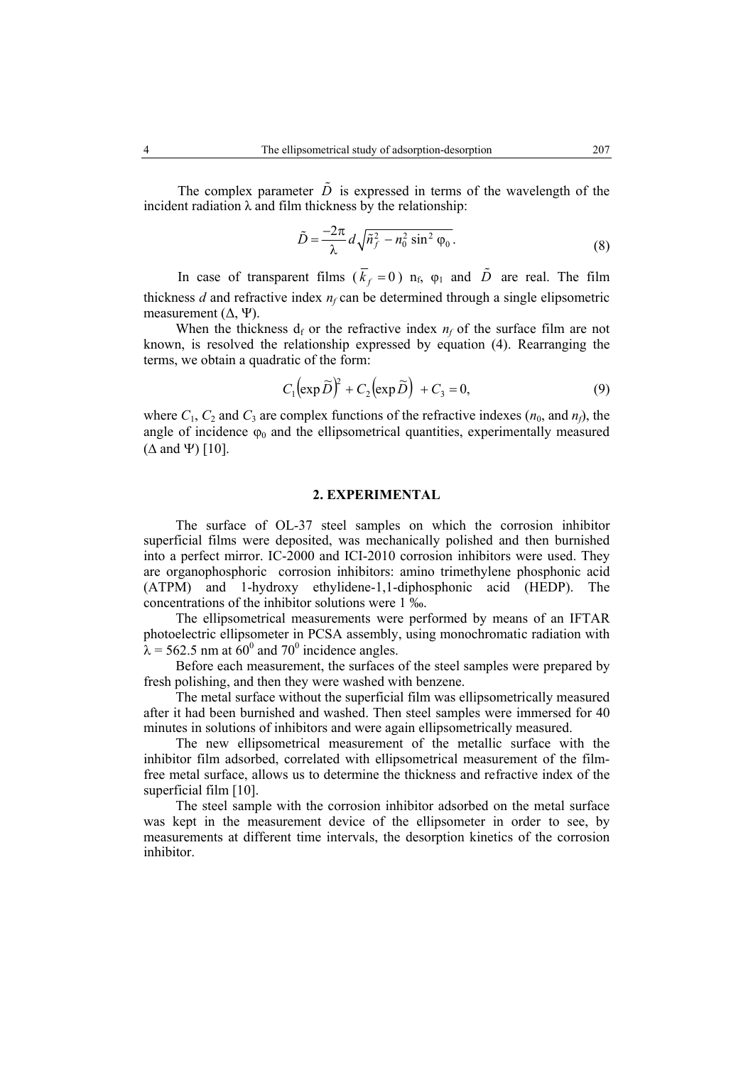The complex parameter  $\tilde{D}$  is expressed in terms of the wavelength of the incident radiation  $\lambda$  and film thickness by the relationship:

$$
\tilde{D} = \frac{-2\pi}{\lambda} d\sqrt{\tilde{n}_f^2 - n_0^2 \sin^2 \varphi_0}.
$$
\n(8)

In case of transparent films  $(\bar{k}_f = 0)$   $n_f$ ,  $\varphi_1$  and  $\tilde{D}$  are real. The film thickness *d* and refractive index  $n_f$  can be determined through a single elipsometric measurement  $(∆, \Psi)$ .

When the thickness  $d_f$  or the refractive index  $n_f$  of the surface film are not known, is resolved the relationship expressed by equation (4). Rearranging the terms, we obtain a quadratic of the form:

$$
C_1 \left(\exp \widetilde{D}\right)^2 + C_2 \left(\exp \widetilde{D}\right) + C_3 = 0, \tag{9}
$$

where  $C_1$ ,  $C_2$  and  $C_3$  are complex functions of the refractive indexes  $(n_0, \text{ and } n_f)$ , the angle of incidence  $\varphi_0$  and the ellipsometrical quantities, experimentally measured  $(\Delta$  and  $\Psi)$  [10].

# **2. EXPERIMENTAL**

The surface of OL-37 steel samples on which the corrosion inhibitor superficial films were deposited, was mechanically polished and then burnished into a perfect mirror. IC-2000 and ICI-2010 corrosion inhibitors were used. They are organophosphoric corrosion inhibitors: amino trimethylene phosphonic acid (ATPM) and 1-hydroxy ethylidene-1,1-diphosphonic acid (HEDP). The concentrations of the inhibitor solutions were 1 ‰.

The ellipsometrical measurements were performed by means of an IFTAR photoelectric ellipsometer in PCSA assembly, using monochromatic radiation with  $\lambda$  = 562.5 nm at 60<sup>0</sup> and 70<sup>0</sup> incidence angles.

Before each measurement, the surfaces of the steel samples were prepared by fresh polishing, and then they were washed with benzene.

The metal surface without the superficial film was ellipsometrically measured after it had been burnished and washed. Then steel samples were immersed for 40 minutes in solutions of inhibitors and were again ellipsometrically measured.

The new ellipsometrical measurement of the metallic surface with the inhibitor film adsorbed, correlated with ellipsometrical measurement of the filmfree metal surface, allows us to determine the thickness and refractive index of the superficial film [10].

The steel sample with the corrosion inhibitor adsorbed on the metal surface was kept in the measurement device of the ellipsometer in order to see, by measurements at different time intervals, the desorption kinetics of the corrosion inhibitor.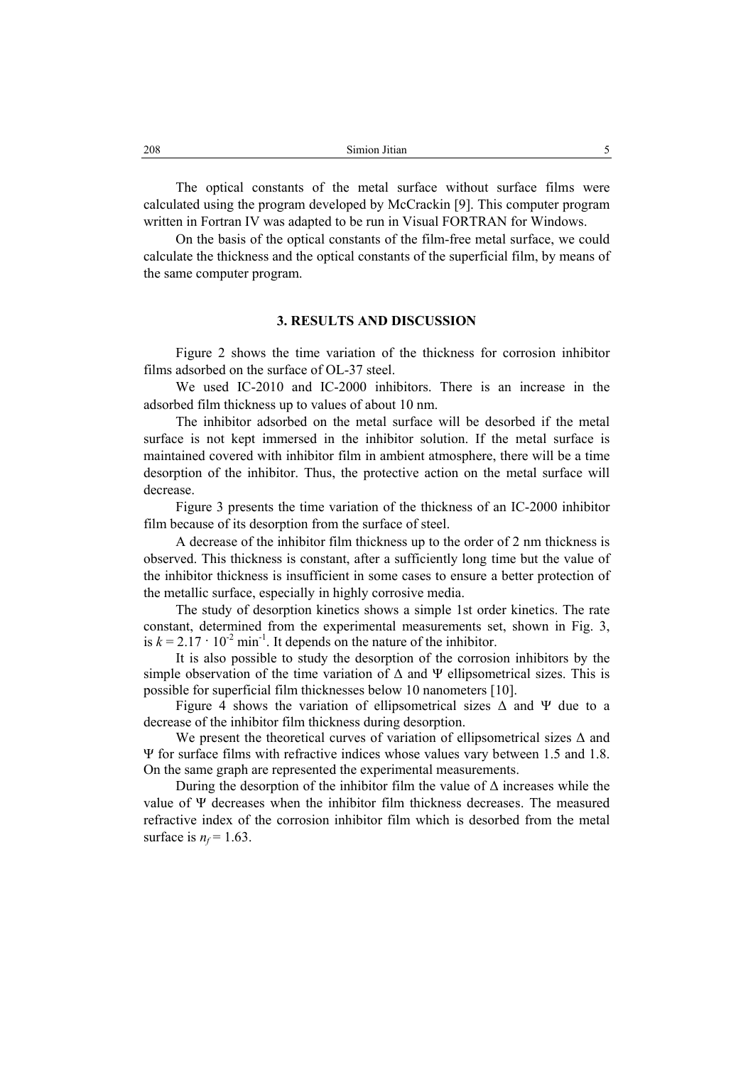The optical constants of the metal surface without surface films were calculated using the program developed by McCrackin [9]. This computer program written in Fortran IV was adapted to be run in Visual FORTRAN for Windows.

On the basis of the optical constants of the film-free metal surface, we could calculate the thickness and the optical constants of the superficial film, by means of the same computer program.

# **3. RESULTS AND DISCUSSION**

Figure 2 shows the time variation of the thickness for corrosion inhibitor films adsorbed on the surface of OL-37 steel.

We used IC-2010 and IC-2000 inhibitors. There is an increase in the adsorbed film thickness up to values of about 10 nm.

The inhibitor adsorbed on the metal surface will be desorbed if the metal surface is not kept immersed in the inhibitor solution. If the metal surface is maintained covered with inhibitor film in ambient atmosphere, there will be a time desorption of the inhibitor. Thus, the protective action on the metal surface will decrease.

Figure 3 presents the time variation of the thickness of an IC-2000 inhibitor film because of its desorption from the surface of steel.

A decrease of the inhibitor film thickness up to the order of 2 nm thickness is observed. This thickness is constant, after a sufficiently long time but the value of the inhibitor thickness is insufficient in some cases to ensure a better protection of the metallic surface, especially in highly corrosive media.

The study of desorption kinetics shows a simple 1st order kinetics. The rate constant, determined from the experimental measurements set, shown in Fig. 3, is  $k = 2.17 \cdot 10^{-2}$  min<sup>-1</sup>. It depends on the nature of the inhibitor.

It is also possible to study the desorption of the corrosion inhibitors by the simple observation of the time variation of  $\Delta$  and  $\Psi$  ellipsometrical sizes. This is possible for superficial film thicknesses below 10 nanometers [10].

Figure 4 shows the variation of ellipsometrical sizes  $\Delta$  and  $\Psi$  due to a decrease of the inhibitor film thickness during desorption.

We present the theoretical curves of variation of ellipsometrical sizes ∆ and Ψ for surface films with refractive indices whose values vary between 1.5 and 1.8. On the same graph are represented the experimental measurements.

During the desorption of the inhibitor film the value of  $\Delta$  increases while the value of Ψ decreases when the inhibitor film thickness decreases. The measured refractive index of the corrosion inhibitor film which is desorbed from the metal surface is  $n_f$  = 1.63.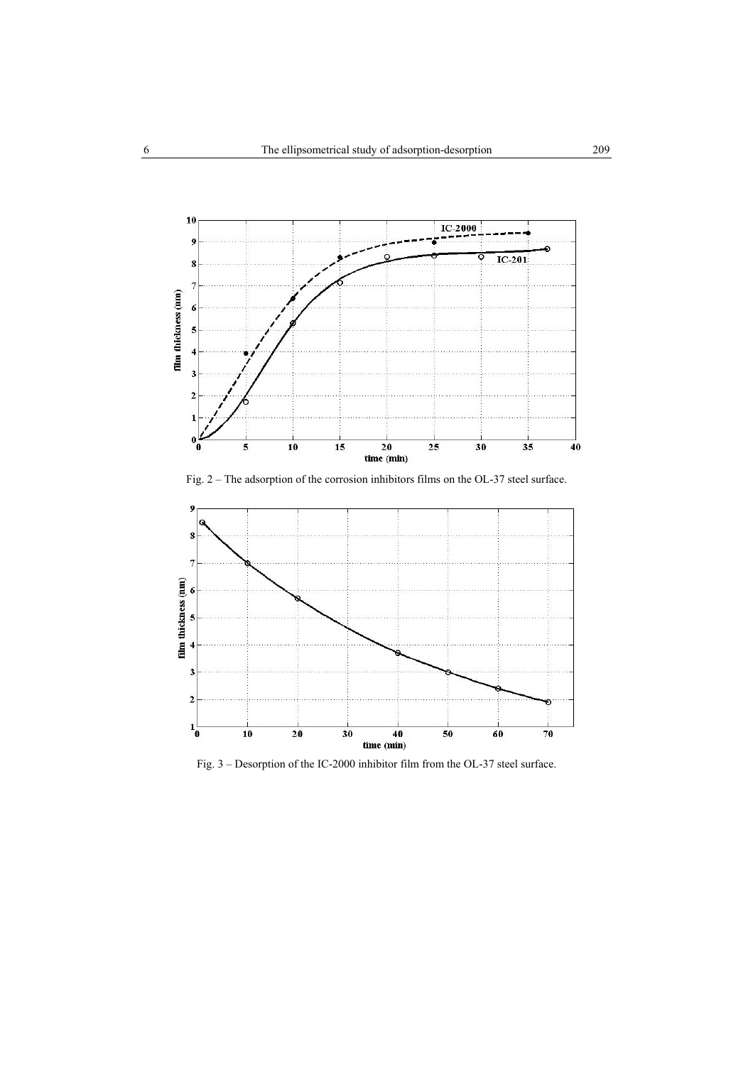

Fig. 2 – The adsorption of the corrosion inhibitors films on the OL-37 steel surface.



Fig. 3 – Desorption of the IC-2000 inhibitor film from the OL-37 steel surface.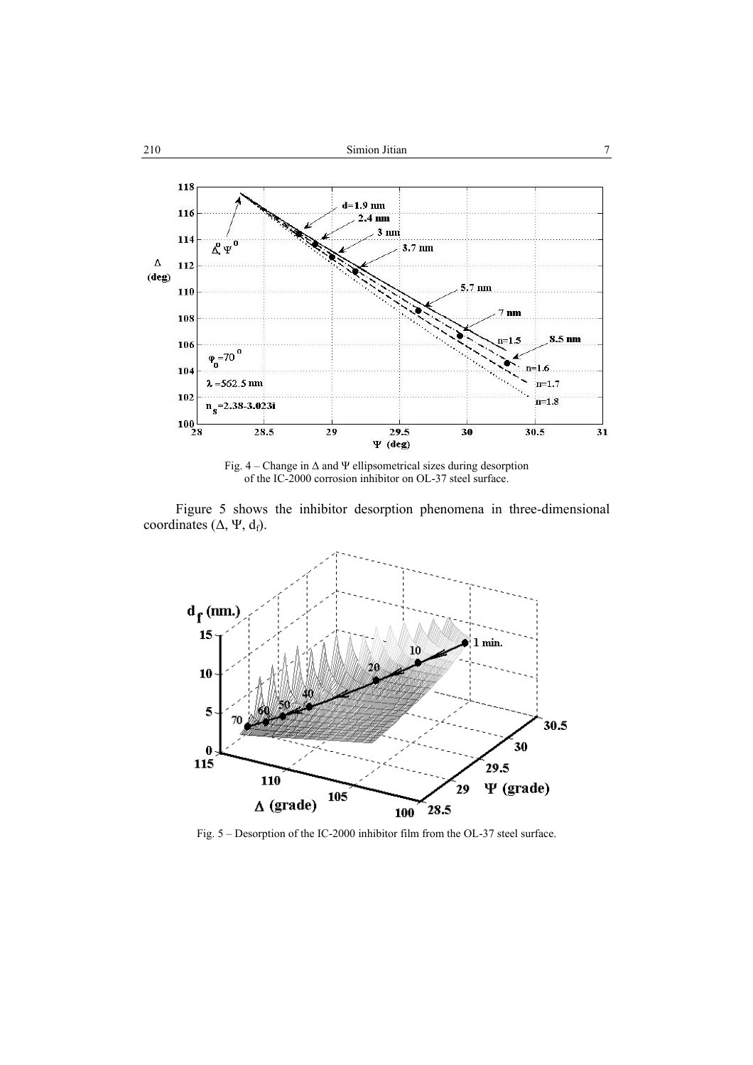

Fig. 4 – Change in ∆ and Ψ ellipsometrical sizes during desorption of the IC-2000 corrosion inhibitor on OL-37 steel surface.

Figure 5 shows the inhibitor desorption phenomena in three-dimensional coordinates ( $\Delta$ , Ψ, d<sub>f</sub>).



Fig. 5 – Desorption of the IC-2000 inhibitor film from the OL-37 steel surface.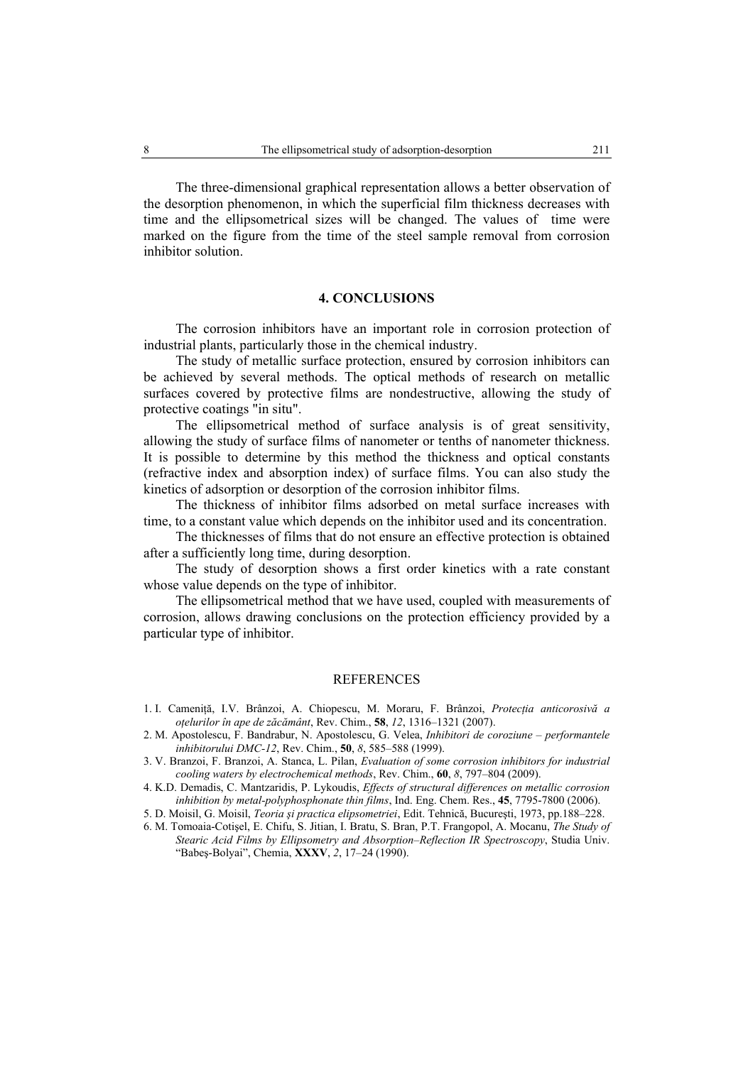The three-dimensional graphical representation allows a better observation of the desorption phenomenon, in which the superficial film thickness decreases with time and the ellipsometrical sizes will be changed. The values of time were marked on the figure from the time of the steel sample removal from corrosion inhibitor solution.

## **4. CONCLUSIONS**

The corrosion inhibitors have an important role in corrosion protection of industrial plants, particularly those in the chemical industry.

The study of metallic surface protection, ensured by corrosion inhibitors can be achieved by several methods. The optical methods of research on metallic surfaces covered by protective films are nondestructive, allowing the study of protective coatings "in situ".

The ellipsometrical method of surface analysis is of great sensitivity, allowing the study of surface films of nanometer or tenths of nanometer thickness. It is possible to determine by this method the thickness and optical constants (refractive index and absorption index) of surface films. You can also study the kinetics of adsorption or desorption of the corrosion inhibitor films.

The thickness of inhibitor films adsorbed on metal surface increases with time, to a constant value which depends on the inhibitor used and its concentration.

The thicknesses of films that do not ensure an effective protection is obtained after a sufficiently long time, during desorption.

The study of desorption shows a first order kinetics with a rate constant whose value depends on the type of inhibitor.

The ellipsometrical method that we have used, coupled with measurements of corrosion, allows drawing conclusions on the protection efficiency provided by a particular type of inhibitor.

## **REFERENCES**

- 1. I. Cameniţă, I.V. Brânzoi, A. Chiopescu, M. Moraru, F. Brânzoi, *Protecţia anticorosivă a oţelurilor în ape de zăcământ*, Rev. Chim., **58**, *12*, 1316–1321 (2007).
- 2. M. Apostolescu, F. Bandrabur, N. Apostolescu, G. Velea, *Inhibitori de coroziune performantele inhibitorului DMC-12*, Rev. Chim., **50**, *8*, 585–588 (1999).
- 3. V. Branzoi, F. Branzoi, A. Stanca, L. Pilan, *Evaluation of some corrosion inhibitors for industrial cooling waters by electrochemical methods*, Rev. Chim., **60**, *8*, 797–804 (2009).
- 4. K.D. Demadis, C. Mantzaridis, P. Lykoudis, *Effects of structural differences on metallic corrosion inhibition by metal-polyphosphonate thin films*, Ind. Eng. Chem. Res., **45**, 7795-7800 (2006).
- 5. D. Moisil, G. Moisil, *Teoria şi practica elipsometriei*, Edit. Tehnică, Bucureşti, 1973, pp.188–228.
- 6. M. Tomoaia-Cotişel, E. Chifu, S. Jitian, I. Bratu, S. Bran, P.T. Frangopol, A. Mocanu, *The Study of Stearic Acid Films by Ellipsometry and Absorption–Reflection IR Spectroscopy*, Studia Univ. "Babeş-Bolyai", Chemia, **XXXV**, *2*, 17–24 (1990).